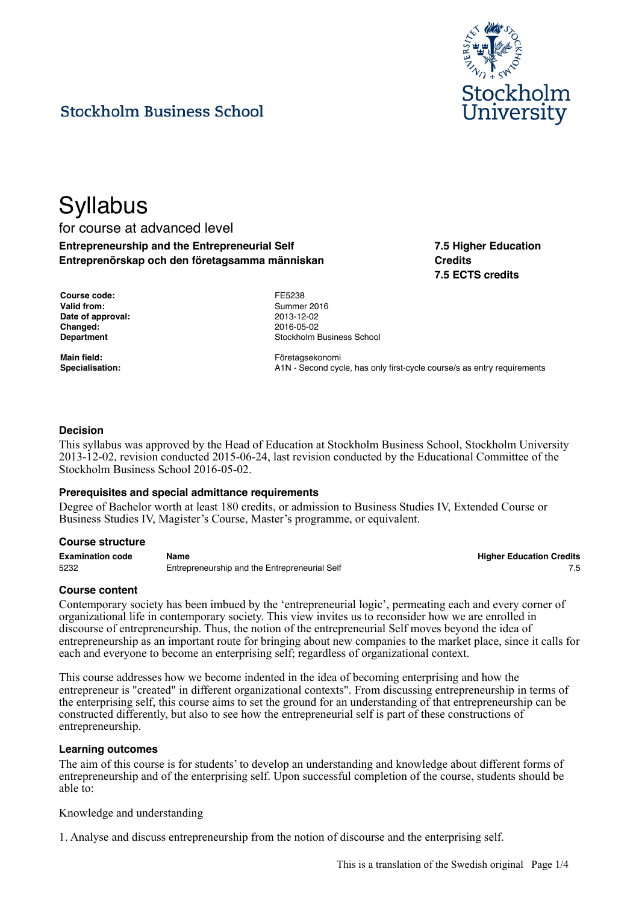

## **Stockholm Business School**

# **Syllabus**

### for course at advanced level **Entrepreneurship and the Entrepreneurial Self Entreprenörskap och den företagsamma människan**

**Credits 7.5 ECTS credits**

**7.5 Higher Education**

| <b>Course code:</b> |
|---------------------|
| Valid from:         |
| Date of approval:   |
| Changed:            |
| Department          |

**Course code:** FE5238 **Valid from:** Summer 2016 **Date of approval:** 2013-12-02 **Changed:** 2016-05-02 **Stockholm Business School** 

**Main field:** Företagsekonomi Specialisation: **A1N** - Second cycle, has only first-cycle course/s as entry requirements

#### **Decision**

This syllabus was approved by the Head of Education at Stockholm Business School, Stockholm University 2013-12-02, revision conducted 2015-06-24, last revision conducted by the Educational Committee of the Stockholm Business School 2016-05-02.

#### **Prerequisites and special admittance requirements**

Degree of Bachelor worth at least 180 credits, or admission to Business Studies IV, Extended Course or Business Studies IV, Magister's Course, Master's programme, or equivalent.

#### **Course structure**

| <b>Examination code</b> | Name                                          | <b>Higher Education Credits</b> |
|-------------------------|-----------------------------------------------|---------------------------------|
| 5232                    | Entrepreneurship and the Entrepreneurial Self |                                 |

#### **Course content**

Contemporary society has been imbued by the 'entrepreneurial logic', permeating each and every corner of organizational life in contemporary society. This view invites us to reconsider how we are enrolled in discourse of entrepreneurship. Thus, the notion of the entrepreneurial Self moves beyond the idea of entrepreneurship as an important route for bringing about new companies to the market place, since it calls for each and everyone to become an enterprising self; regardless of organizational context.

This course addresses how we become indented in the idea of becoming enterprising and how the entrepreneur is "created" in different organizational contexts". From discussing entrepreneurship in terms of the enterprising self, this course aims to set the ground for an understanding of that entrepreneurship can be constructed differently, but also to see how the entrepreneurial self is part of these constructions of entrepreneurship.

#### **Learning outcomes**

The aim of this course is for students' to develop an understanding and knowledge about different forms of entrepreneurship and of the enterprising self. Upon successful completion of the course, students should be able to:

Knowledge and understanding

1. Analyse and discuss entrepreneurship from the notion of discourse and the enterprising self.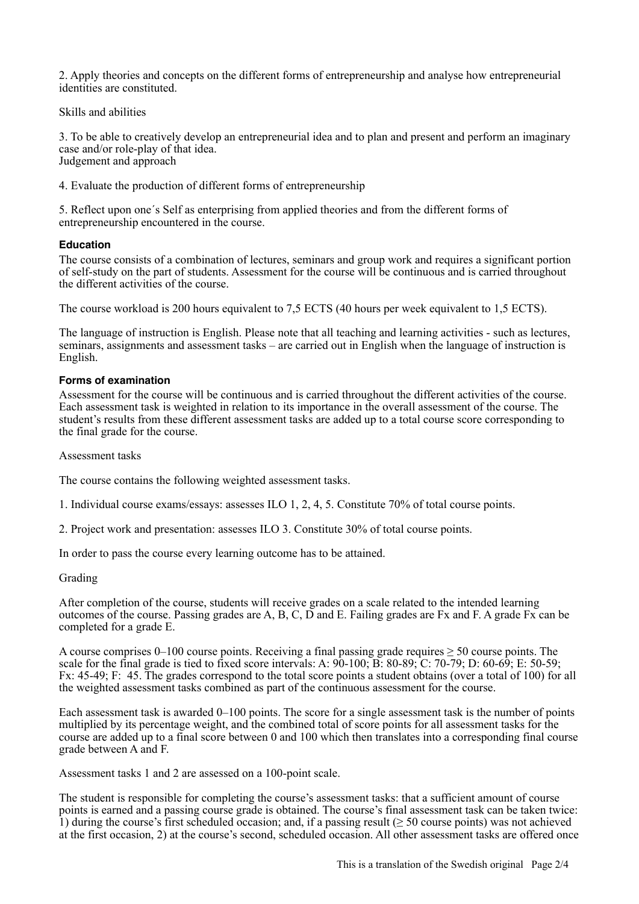2. Apply theories and concepts on the different forms of entrepreneurship and analyse how entrepreneurial identities are constituted.

Skills and abilities

3. To be able to creatively develop an entrepreneurial idea and to plan and present and perform an imaginary case and/or role-play of that idea. Judgement and approach

4. Evaluate the production of different forms of entrepreneurship

5. Reflect upon one´s Self as enterprising from applied theories and from the different forms of entrepreneurship encountered in the course.

#### **Education**

The course consists of a combination of lectures, seminars and group work and requires a significant portion of self-study on the part of students. Assessment for the course will be continuous and is carried throughout the different activities of the course.

The course workload is 200 hours equivalent to 7,5 ECTS (40 hours per week equivalent to 1,5 ECTS).

The language of instruction is English. Please note that all teaching and learning activities - such as lectures, seminars, assignments and assessment tasks – are carried out in English when the language of instruction is English.

#### **Forms of examination**

Assessment for the course will be continuous and is carried throughout the different activities of the course. Each assessment task is weighted in relation to its importance in the overall assessment of the course. The student's results from these different assessment tasks are added up to a total course score corresponding to the final grade for the course.

Assessment tasks

The course contains the following weighted assessment tasks.

1. Individual course exams/essays: assesses ILO 1, 2, 4, 5. Constitute 70% of total course points.

2. Project work and presentation: assesses ILO 3. Constitute 30% of total course points.

In order to pass the course every learning outcome has to be attained.

#### Grading

After completion of the course, students will receive grades on a scale related to the intended learning outcomes of the course. Passing grades are A, B, C, D and E. Failing grades are Fx and F. A grade Fx can be completed for a grade E.

A course comprises  $0-100$  course points. Receiving a final passing grade requires  $\geq 50$  course points. The scale for the final grade is tied to fixed score intervals: A:  $90-100$ ; B:  $80-89$ ; C:  $70-79$ ; D:  $60-69$ ; E:  $50-59$ ; Fx: 45-49; F: 45. The grades correspond to the total score points a student obtains (over a total of 100) for all the weighted assessment tasks combined as part of the continuous assessment for the course.

Each assessment task is awarded 0–100 points. The score for a single assessment task is the number of points multiplied by its percentage weight, and the combined total of score points for all assessment tasks for the course are added up to a final score between 0 and 100 which then translates into a corresponding final course grade between A and F.

Assessment tasks 1 and 2 are assessed on a 100-point scale.

The student is responsible for completing the course's assessment tasks: that a sufficient amount of course points is earned and a passing course grade is obtained. The course's final assessment task can be taken twice: 1) during the course's first scheduled occasion; and, if a passing result ( $\geq$  50 course points) was not achieved at the first occasion, 2) at the course's second, scheduled occasion. All other assessment tasks are offered once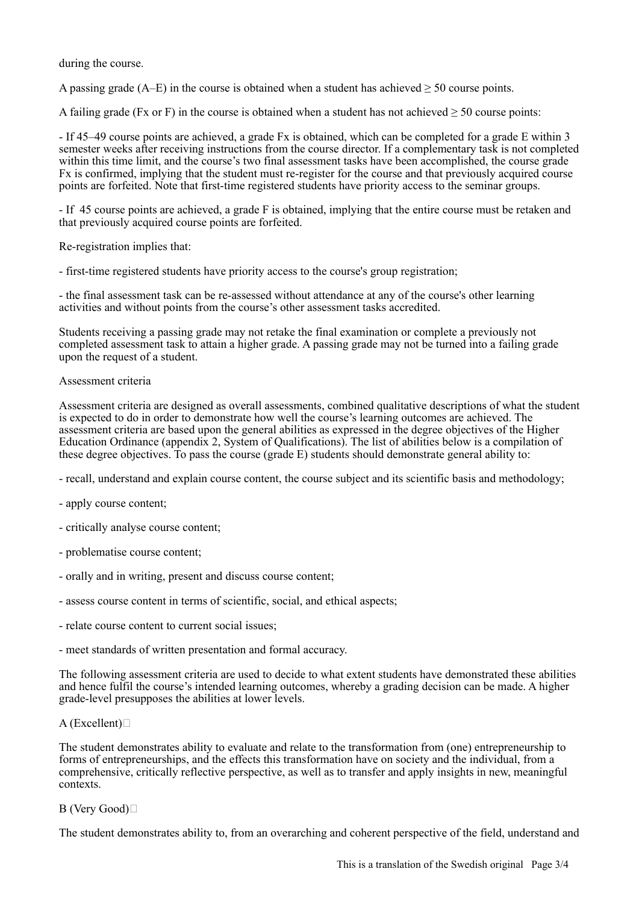during the course.

A passing grade ( $A$ –E) in the course is obtained when a student has achieved  $\geq$  50 course points.

A failing grade (Fx or F) in the course is obtained when a student has not achieved  $\geq 50$  course points:

- If 45–49 course points are achieved, a grade Fx is obtained, which can be completed for a grade E within 3 semester weeks after receiving instructions from the course director. If a complementary task is not completed within this time limit, and the course's two final assessment tasks have been accomplished, the course grade Fx is confirmed, implying that the student must re-register for the course and that previously acquired course points are forfeited. Note that first-time registered students have priority access to the seminar groups.

- If 45 course points are achieved, a grade F is obtained, implying that the entire course must be retaken and that previously acquired course points are forfeited.

Re-registration implies that:

- first-time registered students have priority access to the course's group registration;

- the final assessment task can be re-assessed without attendance at any of the course's other learning activities and without points from the course's other assessment tasks accredited.

Students receiving a passing grade may not retake the final examination or complete a previously not completed assessment task to attain a higher grade. A passing grade may not be turned into a failing grade upon the request of a student.

#### Assessment criteria

Assessment criteria are designed as overall assessments, combined qualitative descriptions of what the student is expected to do in order to demonstrate how well the course's learning outcomes are achieved. The assessment criteria are based upon the general abilities as expressed in the degree objectives of the Higher Education Ordinance (appendix 2, System of Qualifications). The list of abilities below is a compilation of these degree objectives. To pass the course (grade E) students should demonstrate general ability to:

- recall, understand and explain course content, the course subject and its scientific basis and methodology;
- apply course content;
- critically analyse course content;
- problematise course content;
- orally and in writing, present and discuss course content;
- assess course content in terms of scientific, social, and ethical aspects;
- relate course content to current social issues;

- meet standards of written presentation and formal accuracy.

The following assessment criteria are used to decide to what extent students have demonstrated these abilities and hence fulfil the course's intended learning outcomes, whereby a grading decision can be made. A higher grade-level presupposes the abilities at lower levels.

#### $A$  (Excellent) $\square$

The student demonstrates ability to evaluate and relate to the transformation from (one) entrepreneurship to forms of entrepreneurships, and the effects this transformation have on society and the individual, from a comprehensive, critically reflective perspective, as well as to transfer and apply insights in new, meaningful contexts.

#### B (Very Good)

The student demonstrates ability to, from an overarching and coherent perspective of the field, understand and